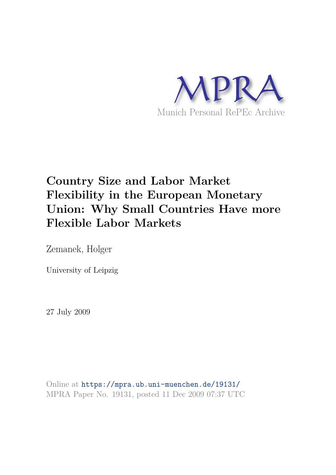

# **Country Size and Labor Market Flexibility in the European Monetary Union: Why Small Countries Have more Flexible Labor Markets**

Zemanek, Holger

University of Leipzig

27 July 2009

Online at https://mpra.ub.uni-muenchen.de/19131/ MPRA Paper No. 19131, posted 11 Dec 2009 07:37 UTC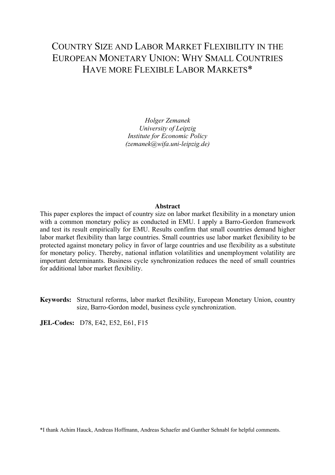## COUNTRY SIZE AND LABOR MARKET FLEXIBILITY IN THE EUROPEAN MONETARY UNION: WHY SMALL COUNTRIES HAVE MORE FLEXIBLE LABOR MARKETS\*

*Holger Zemanek University of Leipzig Institute for Economic Policy (zemanek@wifa.uni-leipzig.de)*

#### **Abstract**

This paper explores the impact of country size on labor market flexibility in a monetary union with a common monetary policy as conducted in EMU. I apply a Barro-Gordon framework and test its result empirically for EMU. Results confirm that small countries demand higher labor market flexibility than large countries. Small countries use labor market flexibility to be protected against monetary policy in favor of large countries and use flexibility as a substitute for monetary policy. Thereby, national inflation volatilities and unemployment volatility are important determinants. Business cycle synchronization reduces the need of small countries for additional labor market flexibility.

**Keywords:** Structural reforms, labor market flexibility, European Monetary Union, country size, Barro-Gordon model, business cycle synchronization.

**JEL-Codes:** D78, E42, E52, E61, F15

\*I thank Achim Hauck, Andreas Hoffmann, Andreas Schaefer and Gunther Schnabl for helpful comments.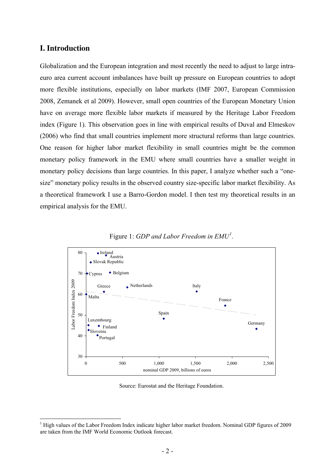#### **I. Introduction**

 $\overline{a}$ 

Globalization and the European integration and most recently the need to adjust to large intraeuro area current account imbalances have built up pressure on European countries to adopt more flexible institutions, especially on labor markets (IMF 2007, European Commission 2008, Zemanek et al 2009). However, small open countries of the European Monetary Union have on average more flexible labor markets if measured by the Heritage Labor Freedom index (Figure 1). This observation goes in line with empirical results of Duval and Elmeskov (2006) who find that small countries implement more structural reforms than large countries. One reason for higher labor market flexibility in small countries might be the common monetary policy framework in the EMU where small countries have a smaller weight in monetary policy decisions than large countries. In this paper, I analyze whether such a "onesize" monetary policy results in the observed country size-specific labor market flexibility. As a theoretical framework I use a Barro-Gordon model. I then test my theoretical results in an empirical analysis for the EMU.



*1* Figure 1: *GDP and Labor Freedom in EMU .* 

Source: Eurostat and the Heritage Foundation.

<sup>&</sup>lt;sup>1</sup> High values of the Labor Freedom Index indicate higher labor market freedom. Nominal GDP figures of 2009 are taken from the IMF World Economic Outlook forecast.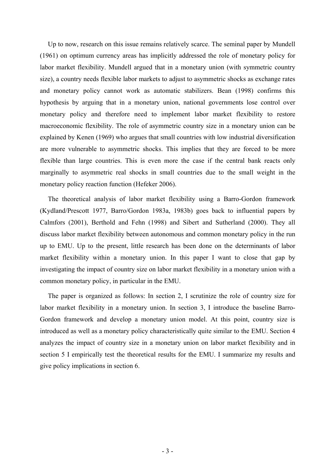Up to now, research on this issue remains relatively scarce. The seminal paper by Mundell (1961) on optimum currency areas has implicitly addressed the role of monetary policy for labor market flexibility. Mundell argued that in a monetary union (with symmetric country size), a country needs flexible labor markets to adjust to asymmetric shocks as exchange rates and monetary policy cannot work as automatic stabilizers. Bean (1998) confirms this hypothesis by arguing that in a monetary union, national governments lose control over monetary policy and therefore need to implement labor market flexibility to restore macroeconomic flexibility. The role of asymmetric country size in a monetary union can be explained by Kenen (1969) who argues that small countries with low industrial diversification are more vulnerable to asymmetric shocks. This implies that they are forced to be more flexible than large countries. This is even more the case if the central bank reacts only marginally to asymmetric real shocks in small countries due to the small weight in the monetary policy reaction function (Hefeker 2006).

The theoretical analysis of labor market flexibility using a Barro-Gordon framework (Kydland/Prescott 1977, Barro/Gordon 1983a, 1983b) goes back to influential papers by Calmfors (2001), Berthold and Fehn (1998) and Sibert and Sutherland (2000). They all discuss labor market flexibility between autonomous and common monetary policy in the run up to EMU. Up to the present, little research has been done on the determinants of labor market flexibility within a monetary union. In this paper I want to close that gap by investigating the impact of country size on labor market flexibility in a monetary union with a common monetary policy, in particular in the EMU.

The paper is organized as follows: In section 2, I scrutinize the role of country size for labor market flexibility in a monetary union. In section 3, I introduce the baseline Barro-Gordon framework and develop a monetary union model. At this point, country size is introduced as well as a monetary policy characteristically quite similar to the EMU. Section 4 analyzes the impact of country size in a monetary union on labor market flexibility and in section 5 I empirically test the theoretical results for the EMU. I summarize my results and give policy implications in section 6.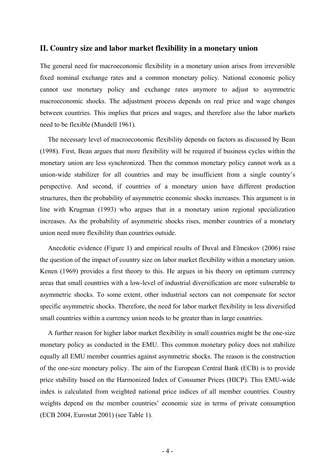#### **II. Country size and labor market flexibility in a monetary union**

The general need for macroeconomic flexibility in a monetary union arises from irreversible fixed nominal exchange rates and a common monetary policy. National economic policy cannot use monetary policy and exchange rates anymore to adjust to asymmetric macroeconomic shocks. The adjustment process depends on real price and wage changes between countries. This implies that prices and wages, and therefore also the labor markets need to be flexible (Mundell 1961).

The necessary level of macroeconomic flexibility depends on factors as discussed by Bean (1998). First, Bean argues that more flexibility will be required if business cycles within the monetary union are less synchronized. Then the common monetary policy cannot work as a union-wide stabilizer for all countries and may be insufficient from a single country's perspective. And second, if countries of a monetary union have different production structures, then the probability of asymmetric economic shocks increases. This argument is in line with Krugman (1993) who argues that in a monetary union regional specialization increases. As the probability of asymmetric shocks rises, member countries of a monetary union need more flexibility than countries outside.

Anecdotic evidence (Figure 1) and empirical results of Duval and Elmeskov (2006) raise the question of the impact of country size on labor market flexibility within a monetary union. Kenen (1969) provides a first theory to this. He argues in his theory on optimum currency areas that small countries with a low-level of industrial diversification are more vulnerable to asymmetric shocks. To some extent, other industrial sectors can not compensate for sector specific asymmetric shocks. Therefore, the need for labor market flexibility in less diversified small countries within a currency union needs to be greater than in large countries.

A further reason for higher labor market flexibility in small countries might be the one-size monetary policy as conducted in the EMU. This common monetary policy does not stabilize equally all EMU member countries against asymmetric shocks. The reason is the construction of the one-size monetary policy. The aim of the European Central Bank (ECB) is to provide price stability based on the Harmonized Index of Consumer Prices (HICP). This EMU-wide index is calculated from weighted national price indices of all member countries. Country weights depend on the member countries' economic size in terms of private consumption (ECB 2004, Eurostat 2001) (see Table 1).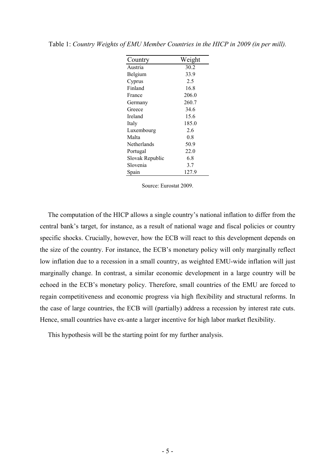| Country         | Weight |
|-----------------|--------|
| Austria         | 30.2   |
| Belgium         | 33.9   |
| Cyprus          | 2.5    |
| Finland         | 16.8   |
| France          | 206.0  |
| Germany         | 260.7  |
| Greece          | 34.6   |
| Ireland         | 15.6   |
| Italy           | 185.0  |
| Luxembourg      | 2.6    |
| Malta           | 0.8    |
| Netherlands     | 50.9   |
| Portugal        | 22.0   |
| Slovak Republic | 6.8    |
| Slovenia        | 3.7    |
| Spain           | 127.9  |

Table 1: *Country Weights of EMU Member Countries in the HICP in 2009 (in per mill).*

Source: Eurostat 2009.

The computation of the HICP allows a single country's national inflation to differ from the central bank's target, for instance, as a result of national wage and fiscal policies or country specific shocks. Crucially, however, how the ECB will react to this development depends on the size of the country. For instance, the ECB's monetary policy will only marginally reflect low inflation due to a recession in a small country, as weighted EMU-wide inflation will just marginally change. In contrast, a similar economic development in a large country will be echoed in the ECB's monetary policy. Therefore, small countries of the EMU are forced to regain competitiveness and economic progress via high flexibility and structural reforms. In the case of large countries, the ECB will (partially) address a recession by interest rate cuts. Hence, small countries have ex-ante a larger incentive for high labor market flexibility.

This hypothesis will be the starting point for my further analysis.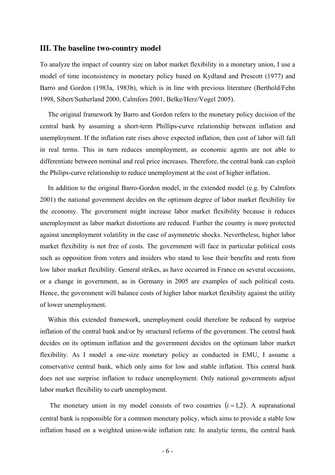#### **III. The baseline two-country model**

To analyze the impact of country size on labor market flexibility in a monetary union, I use a model of time inconsistency in monetary policy based on Kydland and Prescott (1977) and Barro and Gordon (1983a, 1983b), which is in line with previous literature (Berthold/Fehn 1998, Sibert/Sutherland 2000, Calmfors 2001, Belke/Herz/Vogel 2005).

The original framework by Barro and Gordon refers to the monetary policy decision of the central bank by assuming a short-term Phillips-curve relationship between inflation and unemployment. If the inflation rate rises above expected inflation, then cost of labor will fall in real terms. This in turn reduces unemployment, as economic agents are not able to differentiate between nominal and real price increases. Therefore, the central bank can exploit the Philips-curve relationship to reduce unemployment at the cost of higher inflation.

In addition to the original Barro-Gordon model, in the extended model (e.g. by Calmfors 2001) the national government decides on the optimum degree of labor market flexibility for the economy. The government might increase labor market flexibility because it reduces unemployment as labor market distortions are reduced. Further the country is more protected against unemployment volatility in the case of asymmetric shocks. Nevertheless, higher labor market flexibility is not free of costs. The government will face in particular political costs such as opposition from voters and insiders who stand to lose their benefits and rents from low labor market flexibility. General strikes, as have occurred in France on several occasions, or a change in government, as in Germany in 2005 are examples of such political costs. Hence, the government will balance costs of higher labor market flexibility against the utility of lower unemployment.

Within this extended framework, unemployment could therefore be reduced by surprise inflation of the central bank and/or by structural reforms of the government. The central bank decides on its optimum inflation and the government decides on the optimum labor market flexibility. As I model a one-size monetary policy as conducted in EMU, I assume a conservative central bank, which only aims for low and stable inflation. This central bank does not use surprise inflation to reduce unemployment. Only national governments adjust labor market flexibility to curb unemployment.

The monetary union in my model consists of two countries  $(i = 1, 2)$ . A supranational central bank is responsible for a common monetary policy, which aims to provide a stable low inflation based on a weighted union-wide inflation rate. In analytic terms, the central bank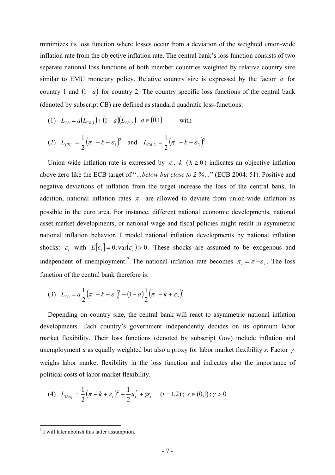minimizes its loss function where losses occur from a deviation of the weighted union-wide inflation rate from the objective inflation rate. The central bank's loss function consists of two separate national loss functions of both member countries weighted by relative country size similar to EMU monetary policy. Relative country size is expressed by the factor *a* for country 1 and  $(1 - a)$  for country 2. The country specific loss functions of the central bank (denoted by subscript CB) are defined as standard quadratic loss-functions:

- (1)  $L_{CB} = a(L_{CB,1}) + (1 a)(L_{CB,2})$   $a \in (0,1)$  with
- $_{1,1} = \frac{1}{2} (\pi k + \varepsilon_1)^2$  $L_{CB,1} = \frac{1}{2} (\pi - k + \varepsilon_1)^2$  and  $L_{CB,2} = \frac{1}{2} (\pi - k + \varepsilon_2)^2$  $2^{\frac{2}{2}}$  2<sup>(*i*</sup>  $\frac{n+2}{2}$ ) (2)  $L_{CB,1} = \frac{1}{2} (\pi - k + \varepsilon_1)^2$  and  $L_{CB,2} = \frac{1}{2} (\pi - k + \varepsilon_1)^2$

Union wide inflation rate is expressed by  $\pi$ .  $k$  ( $k \ge 0$ ) indicates an objective inflation above zero like the ECB target of "*…below but close to 2 %…*" (ECB 2004: 51). Positive and negative deviations of inflation from the target increase the loss of the central bank. In addition, national inflation rates  $\pi_i$  are allowed to deviate from union-wide inflation as possible in the euro area. For instance, different national economic developments, national asset market developments, or national wage and fiscal policies might result in asymmetric national inflation behavior. I model national inflation developments by national inflation shocks:  $\varepsilon_i$  with  $E[\varepsilon_i] = 0$ ;  $var(\varepsilon_i) > 0$ . These shocks are assumed to be exogenous and independent of unemployment.<sup>2</sup> The national inflation rate becomes  $\pi_i = \pi + \varepsilon_i$ . The loss function of the central bank therefore is:

(3) 
$$
L_{CB} = a \frac{1}{2} (\pi - k + \varepsilon_1)_1^2 + (1 - a) \frac{1}{2} (\pi - k + \varepsilon_2)_2^2
$$

Depending on country size, the central bank will react to asymmetric national inflation developments. Each country's government independently decides on its optimum labor market flexibility. Their loss functions (denoted by subscript Gov) include inflation and unemployment *u* as equally weighted but also a proxy for labor market flexibility *s*. Factor <sup>γ</sup> weighs labor market flexibility in the loss function and indicates also the importance of political costs of labor market flexibility.

(4) 
$$
L_{Gov_i} = \frac{1}{2} (\pi - k + \varepsilon_i)^2 + \frac{1}{2} u_i^2 + \gamma s_i
$$
  $(i = 1, 2)$ ;  $s \in (0, 1)$ ;  $\gamma > 0$ 

<sup>&</sup>lt;sup>2</sup> I will later abolish this latter assumption.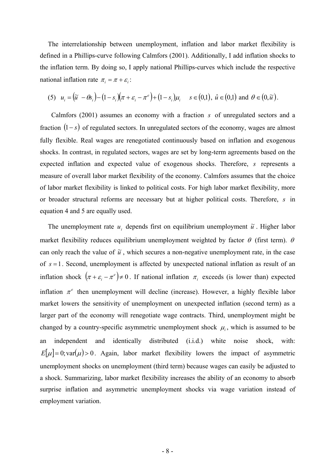The interrelationship between unemployment, inflation and labor market flexibility is defined in a Phillips-curve following Calmfors (2001). Additionally, I add inflation shocks to the inflation term. By doing so, I apply national Phillips-curves which include the respective national inflation rate  $\pi_i = \pi + \varepsilon_i$ :

(5) 
$$
u_i = (\widetilde{u} - \theta s_i) - (1 - s_i)(\pi + \varepsilon_i - \pi^e) + (1 - s_i)\mu_i
$$
  $s \in (0,1), \hat{u} \in (0,1)$  and  $\theta \in (0,\widetilde{u})$ .

Calmfors (2001) assumes an economy with a fraction s of unregulated sectors and a fraction  $(1-s)$  of regulated sectors. In unregulated sectors of the economy, wages are almost fully flexible. Real wages are renegotiated continuously based on inflation and exogenous shocks. In contrast, in regulated sectors, wages are set by long-term agreements based on the expected inflation and expected value of exogenous shocks. Therefore, s represents a measure of overall labor market flexibility of the economy. Calmfors assumes that the choice of labor market flexibility is linked to political costs. For high labor market flexibility, more or broader structural reforms are necessary but at higher political costs. Therefore, s in equation 4 and 5 are equally used.

The unemployment rate  $u_i$  depends first on equilibrium unemployment  $\tilde{u}$ . Higher labor market flexibility reduces equilibrium unemployment weighted by factor  $\theta$  (first term).  $\theta$ can only reach the value of  $\tilde{u}$ , which secures a non-negative unemployment rate, in the case of  $s = 1$ . Second, unemployment is affected by unexpected national inflation as result of an inflation shock  $(\pi + \varepsilon_i - \pi^e) \neq 0$ . If national inflation  $\pi_i$  exceeds (is lower than) expected inflation  $\pi^e$  then unemployment will decline (increase). However, a highly flexible labor market lowers the sensitivity of unemployment on unexpected inflation (second term) as a larger part of the economy will renegotiate wage contracts. Third, unemployment might be changed by a country-specific asymmetric unemployment shock  $\mu_i$ , which is assumed to be an independent and identically distributed (i.i.d.) white noise shock, with:  $E[\mu] = 0$ ; var( $\mu$ ) > 0. Again, labor market flexibility lowers the impact of asymmetric unemployment shocks on unemployment (third term) because wages can easily be adjusted to a shock. Summarizing, labor market flexibility increases the ability of an economy to absorb surprise inflation and asymmetric unemployment shocks via wage variation instead of employment variation.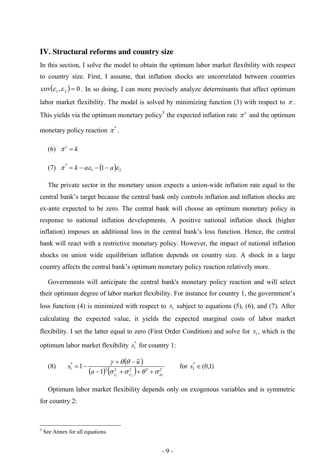#### **IV. Structural reforms and country size**

In this section, I solve the model to obtain the optimum labor market flexibility with respect to country size. First, I assume, that inflation shocks are uncorrelated between countries  $cov(\varepsilon_1, \varepsilon_2) = 0$ . In so doing, I can more precisely analyze determinants that affect optimum labor market flexibility. The model is solved by minimizing function (3) with respect to  $\pi$ . This yields via the optimum monetary policy<sup>3</sup> the expected inflation rate  $\pi^e$  and the optimum monetary policy reaction  $\pi^*$ .

(6)  $\pi^e = k$ 

$$
(7) \quad \pi^* = k - a \varepsilon_1 - (1 - a)\varepsilon_2
$$

The private sector in the monetary union expects a union-wide inflation rate equal to the central bank's target because the central bank only controls inflation and inflation shocks are ex-ante expected to be zero. The central bank will choose an optimum monetary policy in response to national inflation developments. A positive national inflation shock (higher inflation) imposes an additional loss in the central bank's loss function. Hence, the central bank will react with a restrictive monetary policy. However, the impact of national inflation shocks on union wide equilibrium inflation depends on country size. A shock in a large country affects the central bank's optimum monetary policy reaction relatively more.

Governments will anticipate the central bank's monetary policy reaction and will select their optimum degree of labor market flexibility. For instance for country 1, the government's loss function (4) is minimized with respect to  $s_1$  subject to equations (5), (6), and (7). After calculating the expected value, it yields the expected marginal costs of labor market flexibility. I set the latter equal to zero (First Order Condition) and solve for  $s_1$ , which is the optimum labor market flexibility  $s_i^*$  for country 1:  $s_1^*$ 

(8) 
$$
s_1^* = 1 - \frac{\gamma + \theta(\theta - \widetilde{u})}{(a - 1)^2 (\sigma_{s_1}^2 + \sigma_{s_2}^2) + \theta^2 + \sigma_{\mu_1}^2}
$$
 for  $s_1^* \in (0,1)$ 

Optimum labor market flexibility depends only on exogenous variables and is symmetric for country 2:

<sup>&</sup>lt;sup>3</sup> See Annex for all equations.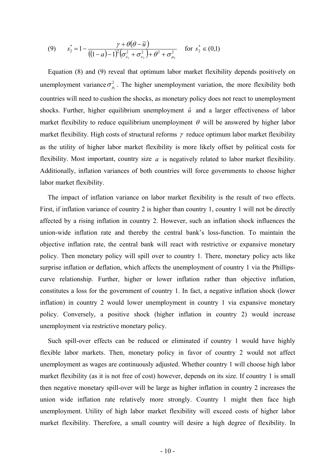(9) 
$$
s_2^* = 1 - \frac{\gamma + \theta(\theta - \widetilde{u})}{((1 - a) - 1)^2 (\sigma_{\varepsilon_1}^2 + \sigma_{\varepsilon_2}^2) + \theta^2 + \sigma_{\mu_2}^2} \quad \text{for } s_2^* \in (0, 1)
$$

Equation (8) and (9) reveal that optimum labor market flexibility depends positively on unemployment variance  $\sigma_u^2$ . The higher unemployment variation, the more flexibility both countries will need to cushion the shocks, as monetary policy does not react to unemployment shocks. Further, higher equilibrium unemployment  $\hat{u}$  and a larger effectiveness of labor market flexibility to reduce equilibrium unemployment  $\theta$  will be answered by higher labor  $\sigma_{_{\mu_i}}$ market flexibility. High costs of structural reforms  $\gamma$  reduce optimum labor market flexibility as the utility of higher labor market flexibility is more likely offset by political costs for flexibility. Most important, country size *a* is negatively related to labor market flexibility. Additionally, inflation variances of both countries will force governments to choose higher labor market flexibility.

The impact of inflation variance on labor market flexibility is the result of two effects. First, if inflation variance of country 2 is higher than country 1, country 1 will not be directly affected by a rising inflation in country 2. However, such an inflation shock influences the union-wide inflation rate and thereby the central bank's loss-function. To maintain the objective inflation rate, the central bank will react with restrictive or expansive monetary policy. Then monetary policy will spill over to country 1. There, monetary policy acts like surprise inflation or deflation, which affects the unemployment of country 1 via the Phillipscurve relationship. Further, higher or lower inflation rather than objective inflation, constitutes a loss for the government of country 1. In fact, a negative inflation shock (lower inflation) in country 2 would lower unemployment in country 1 via expansive monetary policy. Conversely, a positive shock (higher inflation in country 2) would increase unemployment via restrictive monetary policy.

Such spill-over effects can be reduced or eliminated if country 1 would have highly flexible labor markets. Then, monetary policy in favor of country 2 would not affect unemployment as wages are continuously adjusted. Whether country 1 will choose high labor market flexibility (as it is not free of cost) however, depends on its size. If country 1 is small then negative monetary spill-over will be large as higher inflation in country 2 increases the union wide inflation rate relatively more strongly. Country 1 might then face high unemployment. Utility of high labor market flexibility will exceed costs of higher labor market flexibility. Therefore, a small country will desire a high degree of flexibility. In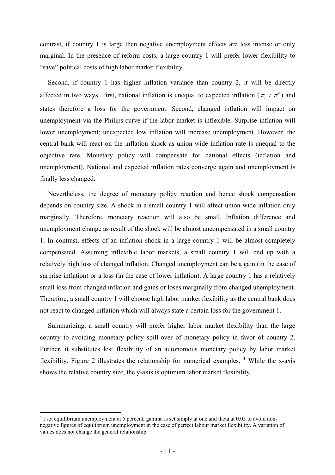contrast, if country 1 is large then negative unemployment effects are less intense or only marginal. In the presence of reform costs, a large country 1 will prefer lower flexibility to "save" political costs of high labor market flexibility.

Second, if country 1 has higher inflation variance than country 2, it will be directly affected in two ways. First, national inflation is unequal to expected inflation ( $\pi$ <sub>i</sub>  $\neq \pi$ <sup>e</sup>) and states therefore a loss for the government. Second, changed inflation will impact on unemployment via the Philips-curve if the labor market is inflexible. Surprise inflation will lower unemployment; unexpected low inflation will increase unemployment. However, the central bank will react on the inflation shock as union wide inflation rate is unequal to the objective rate. Monetary policy will compensate for national effects (inflation and unemployment). National and expected inflation rates converge again and unemployment is finally less changed.

Nevertheless, the degree of monetary policy reaction and hence shock compensation depends on country size. A shock in a small country 1 will affect union wide inflation only marginally. Therefore, monetary reaction will also be small. Inflation difference and unemployment change as result of the shock will be almost uncompensated in a small country 1. In contrast, effects of an inflation shock in a large country 1 will be almost completely compensated. Assuming inflexible labor markets, a small country 1 will end up with a relatively high loss of changed inflation. Changed unemployment can be a gain (in the case of surprise inflation) or a loss (in the case of lower inflation). A large country 1 has a relatively small loss from changed inflation and gains or loses marginally from changed unemployment. Therefore, a small country 1 will choose high labor market flexibility as the central bank does not react to changed inflation which will always state a certain loss for the government 1.

Summarizing, a small country will prefer higher labor market flexibility than the large country to avoiding monetary policy spill-over of monetary policy in favor of country 2. Further, it substitutes lost flexibility of an autonomous monetary policy by labor market flexibility. Figure 2 illustrates the relationship for numerical examples.<sup>4</sup> While the x-axis shows the relative country size, the y-axis is optimum labor market flexibility.

 $\overline{a}$ 

 $4$  I set equilibrium unemployment at 5 percent, gamma is set simply at one and theta at 0.05 to avoid nonnegative figures of equilibrium unemployment in the case of perfect labour market flexibility. A variation of values does not change the general relationship.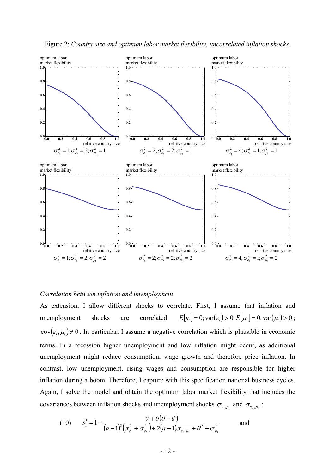

Figure 2: *Country size and optimum labor market flexibility, uncorrelated inflation shocks.* 

#### *Correlation between inflation and unemployment*

As extension, I allow different shocks to correlate. First, I assume that inflation and unemployment shocks are correlated  $]= 0; \text{var}(\varepsilon_i) > 0; E[\mu_i] = 0; \text{var}(\mu_i) > 0;$  $cov(\varepsilon_i, \mu_i) \neq 0$ . In particular, I assume a negative correlation which is plausible in economic terms. In a recession higher unemployment and low inflation might occur, as additional unemployment might reduce consumption, wage growth and therefore price inflation. In contrast, low unemployment, rising wages and consumption are responsible for higher inflation during a boom. Therefore, I capture with this specification national business cycles. Again, I solve the model and obtain the optimum labor market flexibility that includes the covariances between inflation shocks and unemployment shocks  $\sigma_{\varepsilon_1,\mu_1}$  and  $\sigma_{\varepsilon_2,\mu_2}$ :

(10) 
$$
s_1^* = 1 - \frac{\gamma + \theta(\theta - \widetilde{u})}{(a-1)^2(\sigma_{\varepsilon_1}^2 + \sigma_{\varepsilon_2}^2) + 2(a-1)\sigma_{\varepsilon_1,\mu_1} + \theta^2 + \sigma_{\mu_1}^2}
$$
 and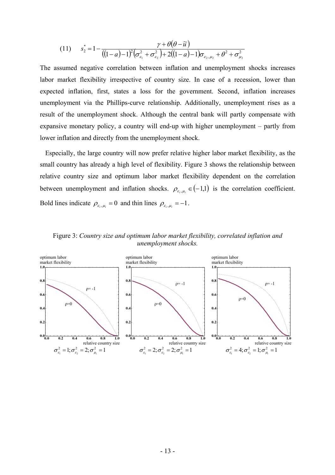$$
(11) \t s2* = 1 - \frac{\gamma + \theta(\theta - \widetilde{u})}{((1 - a) - 1)^2 (\sigma_{\varepsilon_1}^2 + \sigma_{\varepsilon_2}^2) + 2((1 - a) - 1)\sigma_{\varepsilon_2, \mu_2} + \theta^2 + \sigma_{\mu_2}^2}
$$

The assumed negative correlation between inflation and unemployment shocks increases labor market flexibility irrespective of country size. In case of a recession, lower than expected inflation, first, states a loss for the government. Second, inflation increases unemployment via the Phillips-curve relationship. Additionally, unemployment rises as a result of the unemployment shock. Although the central bank will partly compensate with expansive monetary policy, a country will end-up with higher unemployment – partly from lower inflation and directly from the unemployment shock.

Especially, the large country will now prefer relative higher labor market flexibility, as the small country has already a high level of flexibility. Figure 3 shows the relationship between relative country size and optimum labor market flexibility dependent on the correlation between unemployment and inflation shocks.  $\rho_{\varepsilon_i,\mu_i} \in (-1,1)$  is the correlation coefficient. Bold lines indicate  $\rho_{\varepsilon_i,\mu_i} = 0$  and thin lines  $\rho_{\varepsilon_i,\mu_i} = -1$ .



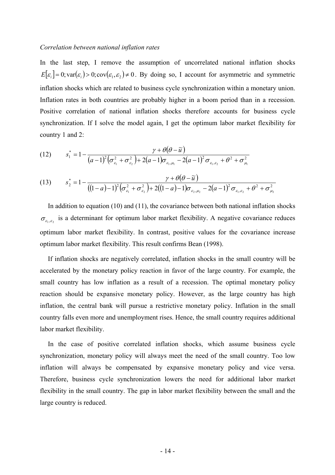#### *Correlation between national inflation rates*

In the last step, I remove the assumption of uncorrelated national inflation shocks  $E[\varepsilon_i] = 0$ ; var $(\varepsilon_i) > 0$ ; cov $(\varepsilon_1, \varepsilon_2) \neq 0$ . By doing so, I account for asymmetric and symmetric inflation shocks which are related to business cycle synchronization within a monetary union. Inflation rates in both countries are probably higher in a boom period than in a recession. Positive correlation of national inflation shocks therefore accounts for business cycle synchronization. If I solve the model again, I get the optimum labor market flexibility for country 1 and 2:

(12) 
$$
s_1^* = 1 - \frac{\gamma + \theta(\theta - \widetilde{u})}{(a-1)^2(\sigma_{\varepsilon_1}^2 + \sigma_{\varepsilon_2}^2) + 2(a-1)\sigma_{\varepsilon_1,\mu_1} - 2(a-1)^2 \sigma_{\varepsilon_1,\varepsilon_2} + \theta^2 + \sigma_{\mu_1}^2}
$$

(13) 
$$
s_2^* = 1 - \frac{\gamma + \theta(\theta - \widetilde{u})}{((1 - a) - 1)^2 (\sigma_{\varepsilon_1}^2 + \sigma_{\varepsilon_2}^2) + 2((1 - a) - 1)\sigma_{\varepsilon_2, \mu_2} - 2(a - 1)^2 \sigma_{\varepsilon_1, \varepsilon_2} + \theta^2 + \sigma_{\mu_2}^2}
$$

In addition to equation (10) and (11), the covariance between both national inflation shocks  $\sigma_{\varepsilon_1,\varepsilon_2}$  is a determinant for optimum labor market flexibility. A negative covariance reduces optimum labor market flexibility. In contrast, positive values for the covariance increase optimum labor market flexibility. This result confirms Bean (1998).

If inflation shocks are negatively correlated, inflation shocks in the small country will be accelerated by the monetary policy reaction in favor of the large country. For example, the small country has low inflation as a result of a recession. The optimal monetary policy reaction should be expansive monetary policy. However, as the large country has high inflation, the central bank will pursue a restrictive monetary policy. Inflation in the small country falls even more and unemployment rises. Hence, the small country requires additional labor market flexibility.

In the case of positive correlated inflation shocks, which assume business cycle synchronization, monetary policy will always meet the need of the small country. Too low inflation will always be compensated by expansive monetary policy and vice versa. Therefore, business cycle synchronization lowers the need for additional labor market flexibility in the small country. The gap in labor market flexibility between the small and the large country is reduced.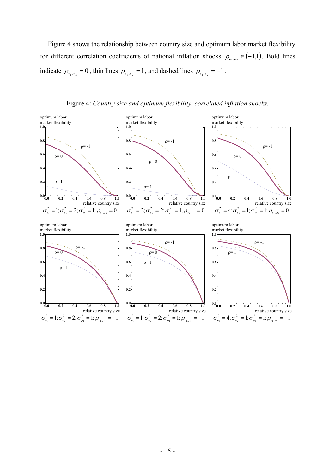Figure 4 shows the relationship between country size and optimum labor market flexibility for different correlation coefficients of national inflation shocks  $\rho_{\varepsilon_1,\varepsilon_2} \in (-1,1)$ . Bold lines indicate  $\rho_{\varepsilon_1,\varepsilon_2} = 0$ , thin lines  $\rho_{\varepsilon_1,\varepsilon_2} = 1$ , and dashed lines  $\rho_{\varepsilon_1,\varepsilon_2} = -1$ .

Figure 4: *Country size and optimum flexibility, correlated inflation shocks.* 

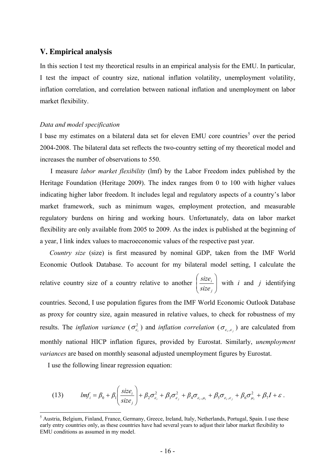#### **V. Empirical analysis**

In this section I test my theoretical results in an empirical analysis for the EMU. In particular, I test the impact of country size, national inflation volatility, unemployment volatility, inflation correlation, and correlation between national inflation and unemployment on labor market flexibility.

#### *Data and model specification*

I base my estimates on a bilateral data set for eleven EMU core countries<sup>5</sup> over the period 2004-2008. The bilateral data set reflects the two-country setting of my theoretical model and increases the number of observations to 550.

I measure *labor market flexibility* (lmf) by the Labor Freedom index published by the Heritage Foundation (Heritage 2009). The index ranges from 0 to 100 with higher values indicating higher labor freedom. It includes legal and regulatory aspects of a country's labor market framework, such as minimum wages, employment protection, and measurable regulatory burdens on hiring and working hours. Unfortunately, data on labor market flexibility are only available from 2005 to 2009. As the index is published at the beginning of a year, I link index values to macroeconomic values of the respective past year.

*Country size* (size) is first measured by nominal GDP, taken from the IMF World Economic Outlook Database. To account for my bilateral model setting, I calculate the relative country size of a country relative to another  $\frac{size_i}{size_i}$ ⎠ ⎞  $\overline{a}$  $\mathsf I$ ⎝  $\sqrt{}$ *j i size*  $\left(\frac{size_i}{} \right)$  with *i* and *j* identifying

countries. Second, I use population figures from the IMF World Economic Outlook Database as proxy for country size, again measured in relative values, to check for robustness of my results. The *inflation variance*  $(\sigma_{\varepsilon}^2)$  and *inflation correlation*  $(\sigma_{\varepsilon,\varepsilon})$  are calculated from monthly national HICP inflation figures, provided by Eurostat. Similarly, *unemployment variances* are based on monthly seasonal adjusted unemployment figures by Eurostat.  $\sigma_{\varepsilon_{i}}$ ) and *inflation correlation* ( $\sigma_{\varepsilon_{i},\varepsilon_{j}}$ 

I use the following linear regression equation:

 $\overline{a}$ 

(13) 
$$
lmf_i = \beta_0 + \beta_1 \left( \frac{size_i}{size_j} \right) + \beta_2 \sigma_{\varepsilon_i}^2 + \beta_3 \sigma_{\varepsilon_j}^2 + \beta_4 \sigma_{\varepsilon_i, \mu_i} + \beta_5 \sigma_{\varepsilon_i, \varepsilon_j} + \beta_6 \sigma_{\mu_i}^2 + \beta_7 I + \varepsilon.
$$

<sup>&</sup>lt;sup>5</sup> Austria, Belgium, Finland, France, Germany, Greece, Ireland, Italy, Netherlands, Portugal, Spain. I use these early entry countries only, as these countries have had several years to adjust their labor market flexibility to EMU conditions as assumed in my model.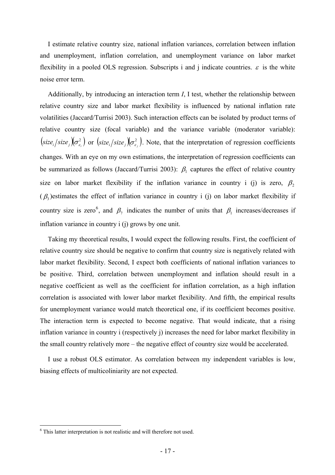I estimate relative country size, national inflation variances, correlation between inflation and unemployment, inflation correlation, and unemployment variance on labor market flexibility in a pooled OLS regression. Subscripts i and j indicate countries.  $\varepsilon$  is the white noise error term.

Additionally, by introducing an interaction term *I*, I test, whether the relationship between relative country size and labor market flexibility is influenced by national inflation rate volatilities (Jaccard/Turrisi 2003). Such interaction effects can be isolated by product terms of relative country size (focal variable) and the variance variable (moderator variable):  $\left(\text{size}_i/\text{size}_i\right), \left(\sigma_{\varepsilon}^2\right).$  $\left(\text{size}_i / \text{size}_j \right) \left( \sigma_{\varepsilon_i}^2 \right) \text{ or } \left(\text{size}_i / \text{size}_j \right) \left( \sigma_{\varepsilon_j}^2 \right)$  $size_i/sec_j(\sigma_{\varepsilon_i}^2)$  or  $(size_i/sec_j(\sigma_{\varepsilon_i}^2)$ . Note, that the interpretation of regression coefficients changes. With an eye on my own estimations, the interpretation of regression coefficients can be summarized as follows (Jaccard/Turrisi 2003):  $\beta_1$  captures the effect of relative country size on labor market flexibility if the inflation variance in country i (j) is zero,  $\beta_2$  $(\beta_3)$  estimates the effect of inflation variance in country i (j) on labor market flexibility if country size is zero<sup>6</sup>, and  $\beta_7$  indicates the number of units that  $\beta_1$  increases/decreases if inflation variance in country i (j) grows by one unit.

Taking my theoretical results, I would expect the following results. First, the coefficient of relative country size should be negative to confirm that country size is negatively related with labor market flexibility. Second, I expect both coefficients of national inflation variances to be positive. Third, correlation between unemployment and inflation should result in a negative coefficient as well as the coefficient for inflation correlation, as a high inflation correlation is associated with lower labor market flexibility. And fifth, the empirical results for unemployment variance would match theoretical one, if its coefficient becomes positive. The interaction term is expected to become negative. That would indicate, that a rising inflation variance in country i (respectively j) increases the need for labor market flexibility in the small country relatively more – the negative effect of country size would be accelerated.

I use a robust OLS estimator. As correlation between my independent variables is low, biasing effects of multicoliniarity are not expected.

 6 This latter interpretation is not realistic and will therefore not used.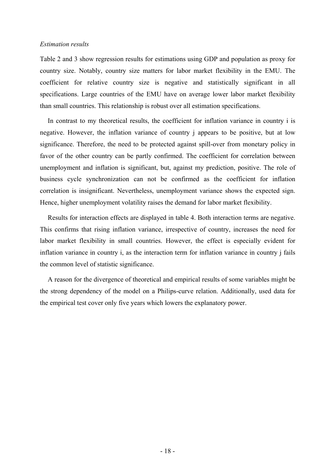#### *Estimation results*

Table 2 and 3 show regression results for estimations using GDP and population as proxy for country size. Notably, country size matters for labor market flexibility in the EMU. The coefficient for relative country size is negative and statistically significant in all specifications. Large countries of the EMU have on average lower labor market flexibility than small countries. This relationship is robust over all estimation specifications.

In contrast to my theoretical results, the coefficient for inflation variance in country i is negative. However, the inflation variance of country j appears to be positive, but at low significance. Therefore, the need to be protected against spill-over from monetary policy in favor of the other country can be partly confirmed. The coefficient for correlation between unemployment and inflation is significant, but, against my prediction, positive. The role of business cycle synchronization can not be confirmed as the coefficient for inflation correlation is insignificant. Nevertheless, unemployment variance shows the expected sign. Hence, higher unemployment volatility raises the demand for labor market flexibility.

Results for interaction effects are displayed in table 4. Both interaction terms are negative. This confirms that rising inflation variance, irrespective of country, increases the need for labor market flexibility in small countries. However, the effect is especially evident for inflation variance in country i, as the interaction term for inflation variance in country j fails the common level of statistic significance.

A reason for the divergence of theoretical and empirical results of some variables might be the strong dependency of the model on a Philips-curve relation. Additionally, used data for the empirical test cover only five years which lowers the explanatory power.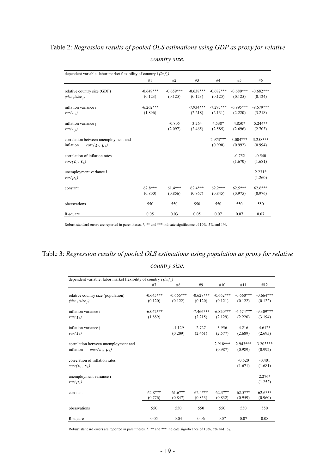## Table 2: *Regression results of pooled OLS estimations using GDP as proxy for relative*

| dependent variable: labor market flexibility of country i $(lmf_i)$ |             |             |             |             |             |             |
|---------------------------------------------------------------------|-------------|-------------|-------------|-------------|-------------|-------------|
|                                                                     | #1          | #2          | #3          | #4          | #5          | #6          |
| relative country size (GDP)                                         | $-0.649***$ | $-0.659***$ | $-0.638***$ | $-0.682***$ | $-0.680***$ | $-0.682***$ |
| $(size_i / size_i)$                                                 | (0.123)     | (0.125)     | (0.123)     | (0.125)     | (0.125)     | (0.124)     |
| inflation variance i                                                | $-6.262***$ |             | $-7.934***$ | $-7.297***$ | $-6.995***$ | $-9.679***$ |
| $var(\varepsilon_i)$                                                | (1.896)     |             | (2.218)     | (2.131)     | (2.220)     | (3.218)     |
| inflation variance j                                                |             | $-0.805$    | 3.264       | 4.538*      | 4.850*      | $5.244**$   |
| $var(\varepsilon_i)$                                                |             | (2.097)     | (2.465)     | (2.585)     | (2.696)     | (2.703)     |
| correlation between unemployment and                                |             |             |             | $2.973***$  | $3.004***$  | 3.258***    |
| inflation<br>$corr(\epsilon_i, \mu_i)$                              |             |             |             | (0.990)     | (0.992)     | (0.994)     |
| correlation of inflation rates                                      |             |             |             |             | $-0.752$    | $-0.540$    |
| $corr(\varepsilon_i, \varepsilon_i)$                                |             |             |             |             | (1.670)     | (1.681)     |
| unemployment variance i                                             |             |             |             |             |             | $2.231*$    |
| $var(\mu_i)$                                                        |             |             |             |             |             | (1.260)     |
| constant                                                            | $62.8***$   | $61.4***$   | $62.4***$   | $62.2***$   | $62.5***$   | 62.6***     |
|                                                                     | (0.800)     | (0.856)     | (0.867)     | (0.845)     | (0.975)     | (0.976)     |
| obersvations                                                        | 550         | 550         | 550         | 550         | 550         | 550         |
| R-square                                                            | 0.05        | 0.03        | 0.05        | 0.07        | 0.07        | 0.07        |

#### *country size.*

Robust standard errors are reported in parentheses. \*, \*\* and \*\*\* indicate significance of 10%, 5% and 1%.

## Table 3: *Regression results of pooled OLS estimations using population as proxy for relative country size.*

| dependent variable: labor market flexibility of country i $(lmf_i)$ |             |             |             |             |             |             |
|---------------------------------------------------------------------|-------------|-------------|-------------|-------------|-------------|-------------|
|                                                                     | #7          | #8          | #9          | #10         | #11         | #12         |
|                                                                     |             |             |             |             |             |             |
| relative country size (population)                                  | $-0.645***$ | $-0.666***$ | $-0.628***$ | $-0.662***$ | $-0.660***$ | $-0.664***$ |
| $(size_i/sec_i)$                                                    | (0.120)     | (0.122)     | (0.120)     | (0.121)     | (0.122)     | (0.122)     |
| inflation variance i                                                | $-6.062***$ |             | $-7.466***$ | $-6.820***$ | $-6.574***$ | $-9.309***$ |
| $var(\varepsilon_i)$                                                | (1.889)     |             | (2.215)     | (2.129)     | (2.220)     | (3.194)     |
|                                                                     |             |             |             |             |             |             |
| inflation variance j                                                |             | $-1.129$    | 2.727       | 3.956       | 4.216       | $4.612*$    |
| $var(\varepsilon_i)$                                                |             | (0.209)     | (2.461)     | (2.577)     | (2.689)     | (2.695)     |
| correlation between unemployment and                                |             |             |             | 2.918***    | $2.943***$  | $3.203***$  |
| inflation<br>$corr(\varepsilon_i, \mu_i)$                           |             |             |             | (0.987)     | (0.989)     | (0.992)     |
| correlation of inflation rates                                      |             |             |             |             | $-0.620$    | $-0.401$    |
| $corr(\varepsilon_i, \varepsilon_i)$                                |             |             |             |             | (1.671)     | (1.681)     |
| unemployment variance i                                             |             |             |             |             |             | $2.276*$    |
| $var(\mu_i)$                                                        |             |             |             |             |             | (1.252)     |
| constant                                                            | $62.8***$   | $61.6***$   | $62.4***$   | $62.3***$   | $62.5***$   | $62.6***$   |
|                                                                     | (0.776)     | (0.847)     | (0.853)     | (0.832)     | (0.959)     | (0.960)     |
|                                                                     |             |             |             |             |             |             |
| obersvations                                                        | 550         | 550         | 550         | 550         | 550         | 550         |
| R-square                                                            | 0.05        | 0.04        | 0.06        | 0.07        | 0.07        | 0.08        |

Robust standard errors are reported in parentheses. \*, \*\* and \*\*\* indicate significance of 10%, 5% and 1%.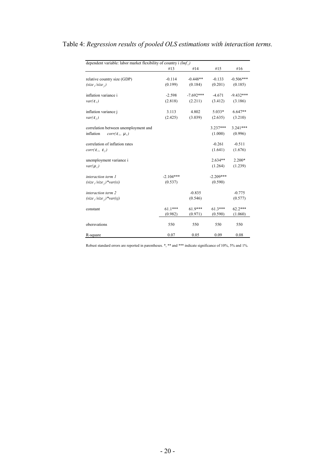| dependent variable: labor market flexibility of country i $(lmf_i)$ |             |             |             |             |
|---------------------------------------------------------------------|-------------|-------------|-------------|-------------|
|                                                                     | #13         | #14         | #15         | #16         |
| relative country size (GDP)                                         | $-0.114$    | $-0.448**$  | $-0.133$    | $-0.506***$ |
| $(size_i / size_i)$                                                 | (0.199)     | (0.184)     | (0.201)     | (0.185)     |
| inflation variance i                                                | $-2.598$    | $-7.692***$ | $-4.671$    | $-9.432***$ |
| $var(\varepsilon_i)$                                                | (2.818)     | (2.211)     | (3.412)     | (3.186)     |
| inflation variance j                                                | 3.113       | 4.802       | 5.033*      | $6.647**$   |
| $var(\varepsilon_i)$                                                | (2.425)     | (3.039)     | (2.635)     | (3.210)     |
| correlation between unemployment and                                |             |             | $3.237***$  | $3.241***$  |
| inflation<br>$corr(\epsilon_i, \mu_i)$                              |             |             | (1.000)     | (0.996)     |
| correlation of inflation rates                                      |             |             | $-0.261$    | $-0.511$    |
| $corr(\varepsilon_i, \varepsilon_i)$                                |             |             | (1.641)     | (1.676)     |
| unemployment variance i                                             |             |             | $2.634**$   | $2.200*$    |
| $var(\mu_i)$                                                        |             |             | (1.264)     | (1.239)     |
| interaction term 1                                                  | $-2.104***$ |             | $-2.209***$ |             |
| $(size_i / size_i) * var(ei)$                                       | (0.537)     |             | (0.590)     |             |
| interaction term 2                                                  |             | $-0.835$    |             | $-0.775$    |
| $(size_i / size_i) * var(\epsilon j)$                               |             | (0.546)     |             | (0.577)     |
| constant                                                            | $61.1***$   | $61.9***$   | $61.3***$   | $62.2***$   |
|                                                                     | (0.982)     | (0.971)     | (0.590)     | (1.060)     |
| obersvations                                                        | 550         | 550         | 550         | 550         |
| R-square                                                            | 0.07        | 0.05        | 0.09        | 0.08        |

### Table 4: *Regression results of pooled OLS estimations with interaction terms.*

Robust standard errors are reported in parentheses. \*, \*\* and \*\*\* indicate significance of 10%, 5% and 1%.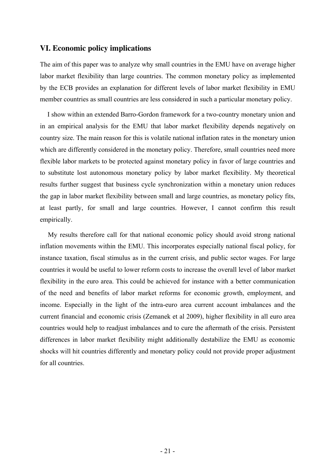#### **VI. Economic policy implications**

The aim of this paper was to analyze why small countries in the EMU have on average higher labor market flexibility than large countries. The common monetary policy as implemented by the ECB provides an explanation for different levels of labor market flexibility in EMU member countries as small countries are less considered in such a particular monetary policy.

I show within an extended Barro-Gordon framework for a two-country monetary union and in an empirical analysis for the EMU that labor market flexibility depends negatively on country size. The main reason for this is volatile national inflation rates in the monetary union which are differently considered in the monetary policy. Therefore, small countries need more flexible labor markets to be protected against monetary policy in favor of large countries and to substitute lost autonomous monetary policy by labor market flexibility. My theoretical results further suggest that business cycle synchronization within a monetary union reduces the gap in labor market flexibility between small and large countries, as monetary policy fits, at least partly, for small and large countries. However, I cannot confirm this result empirically.

My results therefore call for that national economic policy should avoid strong national inflation movements within the EMU. This incorporates especially national fiscal policy, for instance taxation, fiscal stimulus as in the current crisis, and public sector wages. For large countries it would be useful to lower reform costs to increase the overall level of labor market flexibility in the euro area. This could be achieved for instance with a better communication of the need and benefits of labor market reforms for economic growth, employment, and income. Especially in the light of the intra-euro area current account imbalances and the current financial and economic crisis (Zemanek et al 2009), higher flexibility in all euro area countries would help to readjust imbalances and to cure the aftermath of the crisis. Persistent differences in labor market flexibility might additionally destabilize the EMU as economic shocks will hit countries differently and monetary policy could not provide proper adjustment for all countries.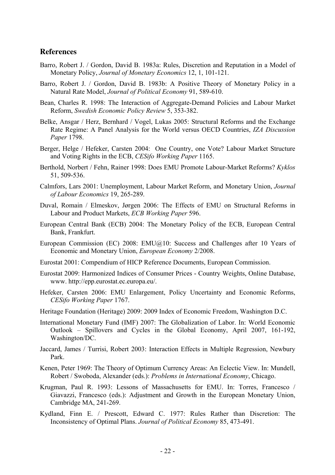#### **References**

- Barro, Robert J. / Gordon, David B. 1983a: Rules, Discretion and Reputation in a Model of Monetary Policy, *Journal of Monetary Economics* 12, 1, 101-121.
- Barro, Robert J. / Gordon, David B. 1983b: A Positive Theory of Monetary Policy in a Natural Rate Model, *Journal of Political Economy* 91, 589-610.
- Bean, Charles R. 1998: The Interaction of Aggregate-Demand Policies and Labour Market Reform, *Swedish Economic Policy Review* 5, 353-382.
- Belke, Ansgar / Herz, Bernhard / Vogel, Lukas 2005: Structural Reforms and the Exchange Rate Regime: A Panel Analysis for the World versus OECD Countries, *IZA Discussion Paper* 1798.
- Berger, Helge / Hefeker, Carsten 2004: One Country, one Vote? Labour Market Structure and Voting Rights in the ECB, *CESifo Working Paper* 1165.
- Berthold, Norbert / Fehn, Rainer 1998: Does EMU Promote Labour-Market Reforms? *Kyklos*  51, 509-536.
- Calmfors, Lars 2001: Unemployment, Labour Market Reform, and Monetary Union, *Journal of Labour Economics* 19, 265-289.
- Duval, Romain / Elmeskov, Jørgen 2006: The Effects of EMU on Structural Reforms in Labour and Product Markets, *ECB Working Paper* 596.
- European Central Bank (ECB) 2004: The Monetary Policy of the ECB, European Central Bank, Frankfurt.
- European Commission (EC) 2008: EMU@10: Success and Challenges after 10 Years of Economic and Monetary Union, *European Economy* 2/2008.
- Eurostat 2001: Compendium of HICP Reference Documents, European Commission.
- Eurostat 2009: Harmonized Indices of Consumer Prices Country Weights, Online Database, www. http://epp.eurostat.ec.europa.eu/.
- Hefeker, Carsten 2006: EMU Enlargement, Policy Uncertainty and Economic Reforms, *CESifo Working Paper* 1767.
- Heritage Foundation (Heritage) 2009: 2009 Index of Economic Freedom, Washington D.C.
- International Monetary Fund (IMF) 2007: The Globalization of Labor. In: World Economic Outlook – Spillovers and Cycles in the Global Economy, April 2007, 161-192, Washington/DC.
- Jaccard, James / Turrisi, Robert 2003: Interaction Effects in Multiple Regression, Newbury Park.
- Kenen, Peter 1969: The Theory of Optimum Currency Areas: An Eclectic View. In: Mundell, Robert / Swoboda, Alexander (eds.): *Problems in International Economy*, Chicago.
- Krugman, Paul R. 1993: Lessons of Massachusetts for EMU. In: Torres, Francesco / Giavazzi, Francesco (eds.): Adjustment and Growth in the European Monetary Union, Cambridge MA, 241-269.
- Kydland, Finn E. / Prescott, Edward C. 1977: Rules Rather than Discretion: The Inconsistency of Optimal Plans. *Journal of Political Economy* 85, 473-491.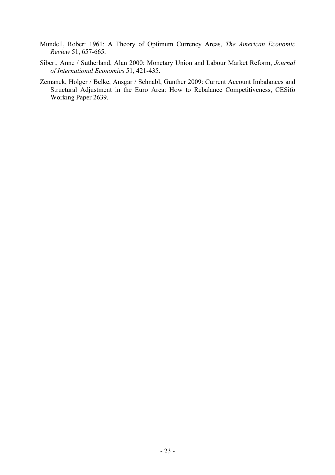- Mundell, Robert 1961: A Theory of Optimum Currency Areas, *The American Economic Review* 51, 657-665.
- Sibert, Anne / Sutherland, Alan 2000: Monetary Union and Labour Market Reform, *Journal of International Economics* 51, 421-435.
- Zemanek, Holger / Belke, Ansgar / Schnabl, Gunther 2009: Current Account Imbalances and Structural Adjustment in the Euro Area: How to Rebalance Competitiveness, CESifo Working Paper 2639.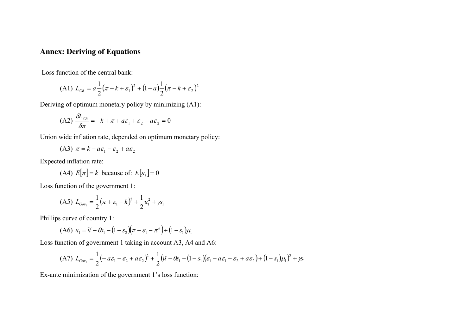### **Annex: Deriving of Equations**

Loss function of the central bank:

(A1) 
$$
L_{CB} = a \frac{1}{2} (\pi - k + \varepsilon_1)^2 + (1 - a) \frac{1}{2} (\pi - k + \varepsilon_2)^2
$$

Deriving of optimum monetary policy by minimizing (A1):

$$
(A2)\ \frac{\partial L_{CB}}{\partial \pi} = -k + \pi + a\varepsilon_1 + \varepsilon_2 - a\varepsilon_2 = 0
$$

Union wide inflation rate, depended on optimum monetary policy:

$$
(A3) \ \pi = k - a\varepsilon_1 - \varepsilon_2 + a\varepsilon_2
$$

Expected inflation rate:

(A4) 
$$
E[\pi] = k
$$
 because of:  $E[\varepsilon_i] = 0$ 

Loss function of the government 1:

$$
(A5) L_{Gov_1} = \frac{1}{2} (\pi + \varepsilon_1 - k)^2 + \frac{1}{2} u_1^2 + \gamma s_1
$$

Phillips curve of country 1:

$$
(A6) \ u_1 = \widetilde{u} - \theta s_1 - (1 - s_2)(\pi + \varepsilon_1 - \pi^e) + (1 - s_1)\mu_1
$$

Loss function of government 1 taking in account A3, A4 and A6:

$$
(A7) \ L_{Gov_1} = \frac{1}{2} \left( -a \varepsilon_1 - \varepsilon_2 + a \varepsilon_2 \right)^2 + \frac{1}{2} \left( \tilde{u} - \theta \varepsilon_1 - (1 - s_1) \left( \varepsilon_1 - a \varepsilon_1 - \varepsilon_2 + a \varepsilon_2 \right) + (1 - s_1) \mu_1 \right)^2 + \gamma s_1
$$

Ex-ante minimization of the government 1's loss function: